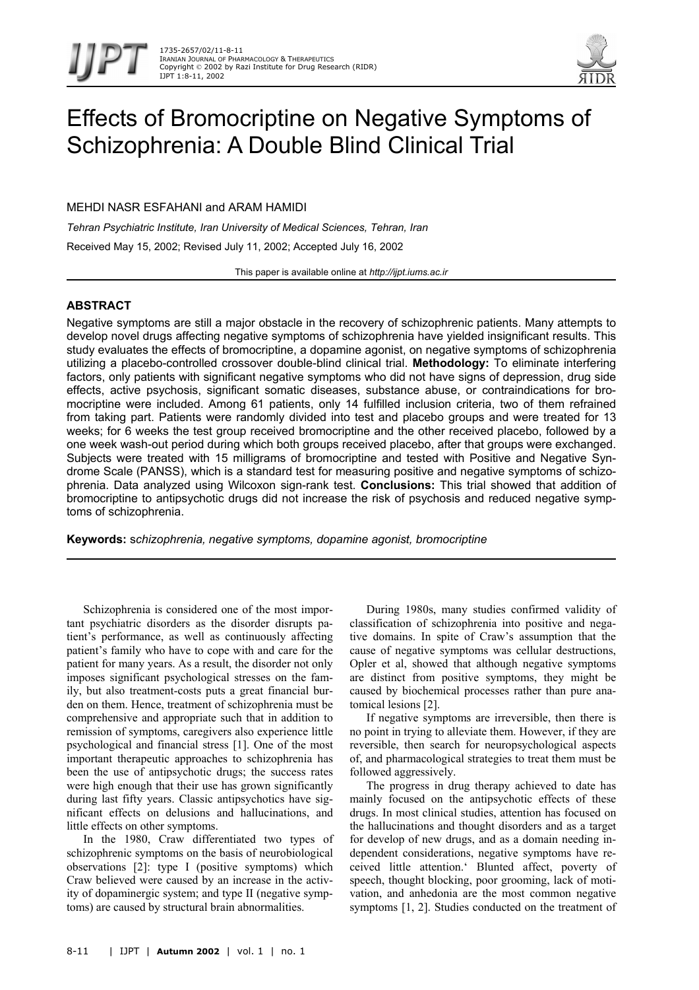

# Effects of Bromocriptine on Negative Symptoms of Schizophrenia: A Double Blind Clinical Trial

MEHDI NASR ESFAHANI and ARAM HAMIDI

*Tehran Psychiatric Institute, Iran University of Medical Sciences, Tehran, Iran*  Received May 15, 2002; Revised July 11, 2002; Accepted July 16, 2002

This paper is available online at *http://ijpt.iums.ac.ir*

## **ABSTRACT**

Negative symptoms are still a major obstacle in the recovery of schizophrenic patients. Many attempts to develop novel drugs affecting negative symptoms of schizophrenia have yielded insignificant results. This study evaluates the effects of bromocriptine, a dopamine agonist, on negative symptoms of schizophrenia utilizing a placebo-controlled crossover double-blind clinical trial. **Methodology:** To eliminate interfering factors, only patients with significant negative symptoms who did not have signs of depression, drug side effects, active psychosis, significant somatic diseases, substance abuse, or contraindications for bromocriptine were included. Among 61 patients, only 14 fulfilled inclusion criteria, two of them refrained from taking part. Patients were randomly divided into test and placebo groups and were treated for 13 weeks; for 6 weeks the test group received bromocriptine and the other received placebo, followed by a one week wash-out period during which both groups received placebo, after that groups were exchanged. Subjects were treated with 15 milligrams of bromocriptine and tested with Positive and Negative Syndrome Scale (PANSS), which is a standard test for measuring positive and negative symptoms of schizophrenia. Data analyzed using Wilcoxon sign-rank test. **Conclusions:** This trial showed that addition of bromocriptine to antipsychotic drugs did not increase the risk of psychosis and reduced negative symptoms of schizophrenia.

**Keywords:** s*chizophrenia, negative symptoms, dopamine agonist, bromocriptine* 

Schizophrenia is considered one of the most important psychiatric disorders as the disorder disrupts patient's performance, as well as continuously affecting patient's family who have to cope with and care for the patient for many years. As a result, the disorder not only imposes significant psychological stresses on the family, but also treatment-costs puts a great financial burden on them. Hence, treatment of schizophrenia must be comprehensive and appropriate such that in addition to remission of symptoms, caregivers also experience little psychological and financial stress [1]. One of the most important therapeutic approaches to schizophrenia has been the use of antipsychotic drugs; the success rates were high enough that their use has grown significantly during last fifty years. Classic antipsychotics have significant effects on delusions and hallucinations, and little effects on other symptoms.

In the 1980, Craw differentiated two types of schizophrenic symptoms on the basis of neurobiological observations [2]: type I (positive symptoms) which Craw believed were caused by an increase in the activity of dopaminergic system; and type II (negative symptoms) are caused by structural brain abnormalities.

During 1980s, many studies confirmed validity of classification of schizophrenia into positive and negative domains. In spite of Craw's assumption that the cause of negative symptoms was cellular destructions, Opler et al, showed that although negative symptoms are distinct from positive symptoms, they might be caused by biochemical processes rather than pure anatomical lesions [2].

If negative symptoms are irreversible, then there is no point in trying to alleviate them. However, if they are reversible, then search for neuropsychological aspects of, and pharmacological strategies to treat them must be followed aggressively.

The progress in drug therapy achieved to date has mainly focused on the antipsychotic effects of these drugs. In most clinical studies, attention has focused on the hallucinations and thought disorders and as a target for develop of new drugs, and as a domain needing independent considerations, negative symptoms have received little attention.' Blunted affect, poverty of speech, thought blocking, poor grooming, lack of motivation, and anhedonia are the most common negative symptoms [1, 2]. Studies conducted on the treatment of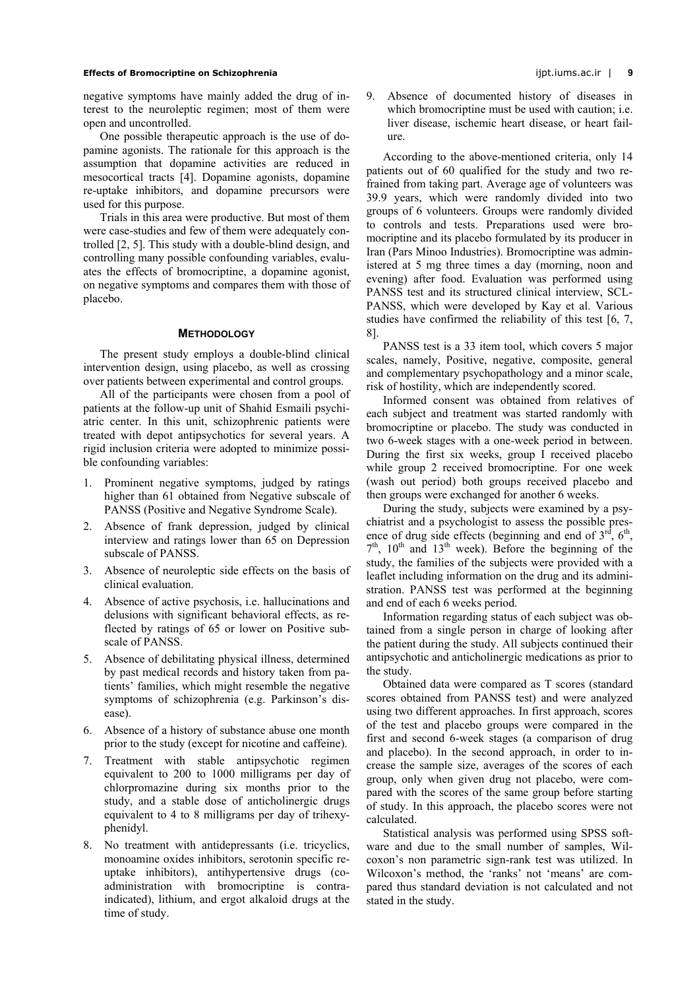## **Effects of Bromocriptine on Schizophrenia** ijpt.iums.ac.ir | **9**

negative symptoms have mainly added the drug of interest to the neuroleptic regimen; most of them were open and uncontrolled.

One possible therapeutic approach is the use of dopamine agonists. The rationale for this approach is the assumption that dopamine activities are reduced in mesocortical tracts [4]. Dopamine agonists, dopamine re-uptake inhibitors, and dopamine precursors were used for this purpose.

Trials in this area were productive. But most of them were case-studies and few of them were adequately controlled [2, 5]. This study with a double-blind design, and controlling many possible confounding variables, evaluates the effects of bromocriptine, a dopamine agonist, on negative symptoms and compares them with those of placebo.

## **METHODOLOGY**

The present study employs a double-blind clinical intervention design, using placebo, as well as crossing over patients between experimental and control groups.

All of the participants were chosen from a pool of patients at the follow-up unit of Shahid Esmaili psychiatric center. In this unit, schizophrenic patients were treated with depot antipsychotics for several years. A rigid inclusion criteria were adopted to minimize possible confounding variables:

- 1. Prominent negative symptoms, judged by ratings higher than 61 obtained from Negative subscale of PANSS (Positive and Negative Syndrome Scale).
- 2. Absence of frank depression, judged by clinical interview and ratings lower than 65 on Depression subscale of PANSS.
- 3. Absence of neuroleptic side effects on the basis of clinical evaluation.
- 4. Absence of active psychosis, i.e. hallucinations and delusions with significant behavioral effects, as reflected by ratings of 65 or lower on Positive subscale of PANSS.
- 5. Absence of debilitating physical illness, determined by past medical records and history taken from patients' families, which might resemble the negative symptoms of schizophrenia (e.g. Parkinson's disease).
- 6. Absence of a history of substance abuse one month prior to the study (except for nicotine and caffeine).
- 7. Treatment with stable antipsychotic regimen equivalent to 200 to 1000 milligrams per day of chlorpromazine during six months prior to the study, and a stable dose of anticholinergic drugs equivalent to 4 to 8 milligrams per day of trihexyphenidyl.
- 8. No treatment with antidepressants (i.e. tricyclics, monoamine oxides inhibitors, serotonin specific reuptake inhibitors), antihypertensive drugs (coadministration with bromocriptine is contraindicated), lithium, and ergot alkaloid drugs at the time of study.

9. Absence of documented history of diseases in which bromocriptine must be used with caution; *i.e.* liver disease, ischemic heart disease, or heart failure.

According to the above-mentioned criteria, only 14 patients out of 60 qualified for the study and two refrained from taking part. Average age of volunteers was 39.9 years, which were randomly divided into two groups of 6 volunteers. Groups were randomly divided to controls and tests. Preparations used were bromocriptine and its placebo formulated by its producer in Iran (Pars Minoo Industries). Bromocriptine was administered at 5 mg three times a day (morning, noon and evening) after food. Evaluation was performed using PANSS test and its structured clinical interview, SCL-PANSS, which were developed by Kay et al. Various studies have confirmed the reliability of this test [6, 7, 8].

PANSS test is a 33 item tool, which covers 5 major scales, namely, Positive, negative, composite, general and complementary psychopathology and a minor scale, risk of hostility, which are independently scored.

Informed consent was obtained from relatives of each subject and treatment was started randomly with bromocriptine or placebo. The study was conducted in two 6-week stages with a one-week period in between. During the first six weeks, group I received placebo while group 2 received bromocriptine. For one week (wash out period) both groups received placebo and then groups were exchanged for another 6 weeks.

During the study, subjects were examined by a psychiatrist and a psychologist to assess the possible presence of drug side effects (beginning and end of  $3<sup>rd</sup>$ ,  $6<sup>th</sup>$ ,  $7<sup>th</sup>$ ,  $10<sup>th</sup>$  and  $13<sup>th</sup>$  week). Before the beginning of the study, the families of the subjects were provided with a leaflet including information on the drug and its administration. PANSS test was performed at the beginning and end of each 6 weeks period.

Information regarding status of each subject was obtained from a single person in charge of looking after the patient during the study. All subjects continued their antipsychotic and anticholinergic medications as prior to the study.

Obtained data were compared as T scores (standard scores obtained from PANSS test) and were analyzed using two different approaches. In first approach, scores of the test and placebo groups were compared in the first and second 6-week stages (a comparison of drug and placebo). In the second approach, in order to increase the sample size, averages of the scores of each group, only when given drug not placebo, were compared with the scores of the same group before starting of study. In this approach, the placebo scores were not calculated.

Statistical analysis was performed using SPSS software and due to the small number of samples, Wilcoxon's non parametric sign-rank test was utilized. In Wilcoxon's method, the 'ranks' not 'means' are compared thus standard deviation is not calculated and not stated in the study.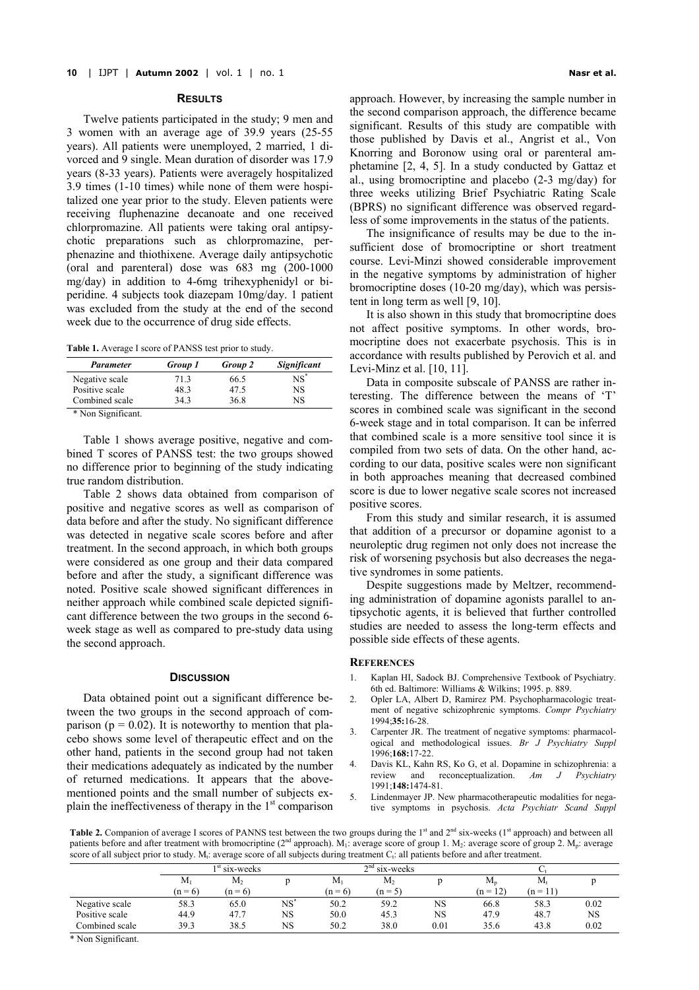#### **RESULTS**

Twelve patients participated in the study; 9 men and 3 women with an average age of 39.9 years (25-55 years). All patients were unemployed, 2 married, 1 divorced and 9 single. Mean duration of disorder was 17.9 years (8-33 years). Patients were averagely hospitalized 3.9 times (1-10 times) while none of them were hospitalized one year prior to the study. Eleven patients were receiving fluphenazine decanoate and one received chlorpromazine. All patients were taking oral antipsychotic preparations such as chlorpromazine, perphenazine and thiothixene. Average daily antipsychotic (oral and parenteral) dose was 683 mg (200-1000 mg/day) in addition to 4-6mg trihexyphenidyl or biperidine. 4 subjects took diazepam 10mg/day. 1 patient was excluded from the study at the end of the second week due to the occurrence of drug side effects.

| <b>Table 1.</b> Average I score of PANSS test prior to study. |  |  |
|---------------------------------------------------------------|--|--|
|---------------------------------------------------------------|--|--|

<span id="page-2-0"></span>

| Parameter      | <b>Group 1</b> | Group 2 | <b>Significant</b> |  |
|----------------|----------------|---------|--------------------|--|
| Negative scale | 71.3           | 66.5    | NS*                |  |
| Positive scale | 48.3           | 47.5    | NS                 |  |
| Combined scale | 343            | 36.8    | NS                 |  |

\* Non Significant.

[Table 1](#page-2-0) shows average positive, negative and combined T scores of PANSS test: the two groups showed no difference prior to beginning of the study indicating true random distribution.

[Table 2](#page-2-1) shows data obtained from comparison of positive and negative scores as well as comparison of data before and after the study. No significant difference was detected in negative scale scores before and after treatment. In the second approach, in which both groups were considered as one group and their data compared before and after the study, a significant difference was noted. Positive scale showed significant differences in neither approach while combined scale depicted significant difference between the two groups in the second 6 week stage as well as compared to pre-study data using the second approach.

#### **DISCUSSION**

Data obtained point out a significant difference between the two groups in the second approach of comparison ( $p = 0.02$ ). It is noteworthy to mention that placebo shows some level of therapeutic effect and on the other hand, patients in the second group had not taken their medications adequately as indicated by the number of returned medications. It appears that the abovementioned points and the small number of subjects explain the ineffectiveness of therapy in the  $1<sup>st</sup>$  comparison approach. However, by increasing the sample number in the second comparison approach, the difference became significant. Results of this study are compatible with those published by Davis et al., Angrist et al., Von Knorring and Boronow using oral or parenteral amphetamine [2, 4, 5]. In a study conducted by Gattaz et al., using bromocriptine and placebo (2-3 mg/day) for three weeks utilizing Brief Psychiatric Rating Scale (BPRS) no significant difference was observed regardless of some improvements in the status of the patients.

The insignificance of results may be due to the insufficient dose of bromocriptine or short treatment course. Levi-Minzi showed considerable improvement in the negative symptoms by administration of higher bromocriptine doses (10-20 mg/day), which was persistent in long term as well [9, 10].

It is also shown in this study that bromocriptine does not affect positive symptoms. In other words, bromocriptine does not exacerbate psychosis. This is in accordance with results published by Perovich et al. and Levi-Minz et al. [10, 11].

Data in composite subscale of PANSS are rather interesting. The difference between the means of 'T' scores in combined scale was significant in the second 6-week stage and in total comparison. It can be inferred that combined scale is a more sensitive tool since it is compiled from two sets of data. On the other hand, according to our data, positive scales were non significant in both approaches meaning that decreased combined score is due to lower negative scale scores not increased positive scores.

From this study and similar research, it is assumed that addition of a precursor or dopamine agonist to a neuroleptic drug regimen not only does not increase the risk of worsening psychosis but also decreases the negative syndromes in some patients.

Despite suggestions made by Meltzer, recommending administration of dopamine agonists parallel to antipsychotic agents, it is believed that further controlled studies are needed to assess the long-term effects and possible side effects of these agents.

## **REFERENCES**

- 1. Kaplan HI, Sadock BJ. Comprehensive Textbook of Psychiatry. 6th ed. Baltimore: Williams & Wilkins; 1995. p. 889.
- 2. Opler LA, Albert D, Ramirez PM. Psychopharmacologic treatment of negative schizophrenic symptoms. *Compr Psychiatry* 1994;**35:**16-28.
- Carpenter JR. The treatment of negative symptoms: pharmacological and methodological issues. *Br J Psychiatry Suppl* 1996;**168:**17-22.
- 4. Davis KL, Kahn RS, Ko G, et al. Dopamine in schizophrenia: a review and reconceptualization. *Am J Psychiatry* 1991;**148:**1474-81.
- 5. Lindenmayer JP. New pharmacotherapeutic modalities for negative symptoms in psychosis. *Acta Psychiatr Scand Suppl*

<span id="page-2-1"></span>**Table 2.** Companion of average I scores of PANNS test between the two groups during the 1<sup>st</sup> and 2<sup>nd</sup> six-weeks (1<sup>st</sup> approach) and between all patients before and after treatment with bromocriptine ( $2<sup>nd</sup>$  approach). M<sub>1</sub>: average score of group 1. M<sub>2</sub>: average score of group 2. M<sub>p</sub>: average score of all subject prior to study. M<sub>t</sub>: average score of all subjects during treatment C<sub>t</sub>: all patients before and after treatment.

|                | . .<br>$1st$ six-weeks |                |        | $2nd$ six-weeks |                |      |            |            |      |
|----------------|------------------------|----------------|--------|-----------------|----------------|------|------------|------------|------|
|                | $M_1$                  | M <sub>2</sub> |        | $M_1$           | M <sub>2</sub> |      | $M_{n}$    | $M_t$      |      |
|                | $(n = 6)$              | $(n = 6)$      |        | $(n = 6)$       | $(n = 5)$      |      | $(n = 12)$ | $(n = 11)$ |      |
| Negative scale | 58.3                   | 65.0           | $NS^*$ | 50.2            | 59.2           | NS   | 66.8       | 58.3       | 0.02 |
| Positive scale | 44.9                   | 47.7           | NS     | 50.0            | 45.3           | NS   | 47.9       | 48.7       | NS   |
| Combined scale | 39.3                   | 38.5           | NS     | 50.2            | 38.0           | 0.01 | 35.6       | 43.8       | 0.02 |

\* Non Significant.